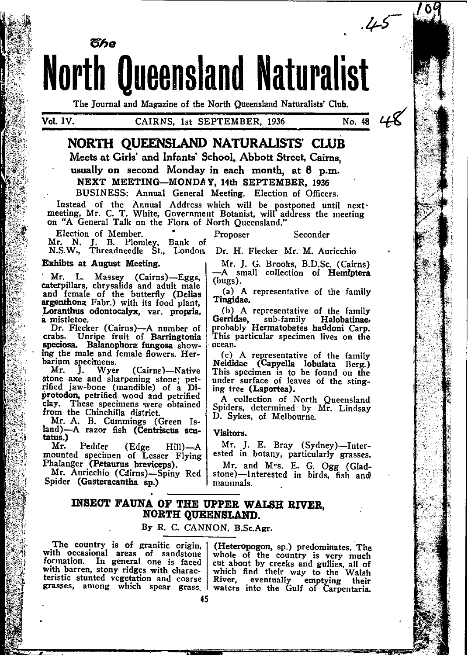

The Journal and Magazine of the North Queensland Naturalists' Club.

No. 48

# NORTH OUEENSLAND NATURALISTS' CLUB

Meets at Girls' and Infants' School, Abbott Street, Cairns.

usually on second Monday in each month, at 8 p.m. NEXT MEETING-MONDAY, 14th SEPTEMBER, 1936

BUSINESS: Annual General Meeting. Election of Officers.

Instead of the Annual Address which will be postponed until next<br>meeting, Mr. C. T. White, Government Botanist, will address the meeting<br>on "A General Talk on the Flora of North Queensland."

Proposer

Election of Member. Mr. N. J. B. Plomley, Bank of N.S.W., Threadneedle St., London.

Exhibts at August Meeting.

Mr. L. Massey (Cairns)-Eggs, caterpillars, chrysalids and adult male and female of the butterfly (Delias argenthona Fabr.) with its food plant, Loranthus odontocalyx, var, propria. a mistletoe.

Dr. Flecker (Cairns)-A number of crabs. Unripe fruit of Barringtonia speciosa. Balanophora fungosa showing the male and female flowers. Herbarium specimens.

 $Mr.$ Wyer J. (Cairng)-Native stone axe and sharpening stone; petrified jaw-bone (mandible) of a Diprotodon, petrified wood and petrified clay. These specimens were obtained from the Chinchilla district.

Mr. A. B. Cummings (Green Island)-A razor fish (Centriscus scutatus.)

Mr. Pedder (Edge  $Hill$ ) — A mounted specimen of Lesser Flying Phalanger (Petaurus breviceps).

Mr. Auricchio (Cairns)-Spiny Red Spider (Gasteracantha sp.)

Dr. H. Flecker Mr. M. Auricchio

Mr. J. G. Brooks, B.D.Sc. (Cairns) -A small collection of Hemiptera  $(bugs).$ 

Seconder

(a) A representative of the family Tingidae.

(b) A representative of the family Gerridae, sub-family Halobatinae,<br>probably Hermatobates haddoni Carp.<br>This particular specimen lives on the ocean.

(c) A representative of the family Neididae (Capyella lobulata Berg.) This specimen is to be found on the under surface of leaves of the stinging tree (Laportea).

A collection of North Queensland Spiders, determined by Mr. Lindsay D. Sykes, of Melbourne.

#### Visitors.

Mr. J. E. Bray (Sydney)-Interested in botany, particularly grasses.

Mr. and Mrs. E. G. Ogg (Gladstone)-Interested in birds, fish and mammals.

## INSECT FAUNA OF THE UPPER WALSH RIVER. NORTH QUEENSLAND.

### By R. C. CANNON. B.Sc.Agr.

The country is of granitic origin, with occasional areas of sandstone formation. In general one is faced with barren, stony ridges with characteristic stunted vegetation and coarse grasses, among which spear grass,

(Heteropogon, sp.) predominates. The whole of the country is very much cut about by creeks and gullies, all of which find their way to the Walsh River, eventually emptying their<br>waters into the Gulf of Carpentaria.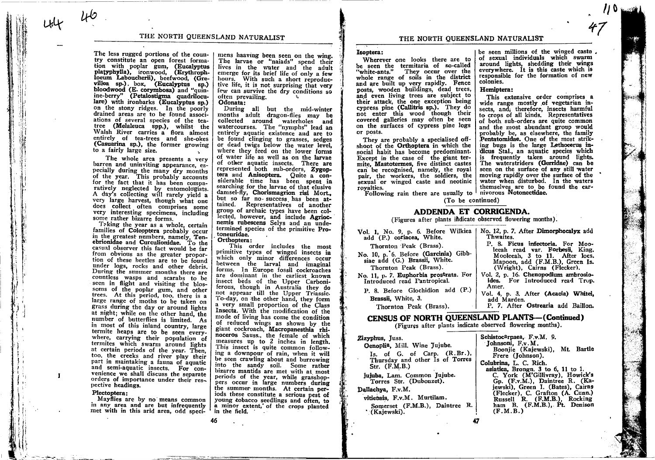THE NORTH QUEENSLAND NATURALIST

The less rugged portions of the country constitute an open forest formation with poplar gum, (Eucalyptus platyphylla), ironwood, (Erythrophloeum Laboucherii), beefwood, (Grevillea sp.) box, (Eucalyptus sp.) bloodwood (E. corymbosa) and "quinine-berry" (Petalostigma quadriloculare) with ironbarks (Eucalyptus sp.) on the stony ridges. In the poorly drained areas are to be found associations of several species of the teatree (Melaleuca spp.), whilst the Walsh River carries a flora almost entirely of tea-trees and she-okes (Casuarina sp.), the former growing to a fairly large size.

 $40$ 

The whole area presents a very barren and uninviting appearance, especially during the many dry months of the year. This probably accounts for the fact that it has been comparatively neglected by entomologists. A day's collecting will rarely yield a very large harvest, though what one does collect often comprises some very interesting specimens, including some rather bizarre forms.

Taking the year as a whole, certain families of Coleoptera probably occur in the greatest numbers, namely, Tenebrionidae and Curculionidae. To the casual observer this fact would be far from obvious as the greater proportion of these beetles are to be found under logs, rocks and other debris. During the summer months there are countless wasps and scarabs to be seen in flight and visiting the blossoms of the poplar gum, and other trees. At this period, too, there is a large range of moths to be taken on grass during the day or around lights at night; while on the other hand, the number of butterflies is limited. As in most of this inland country, large termite heaps are to be seen everywhere, carrying their population of termites which swarm around lights at certain periods of the year. Then, too, the creeks and river play their part in maintaking a fauna of aquatic and semi-aquatic insects. For convenience we shall discuss the separate orders of importance under their respective headings.

#### Plectoptera:

 $\mathbf{I}$ 

Mayflies are by no means common in any area and are but infrequently met with in this arid area, odd speci-

mens haaving been seen on the wing. The larvae or "naiads" spend their lives in the water and the adult emerge for its brief life of only a few hours. With such a short reproductive life, it is not surprising that very few can survive the dry conditions so often prevailing.

#### Odonata:

During all but the mid-winter months adult dragon-flies may be collected around waterholes and watercourses. The "nymphs" lead an entirely aquatic existence and are to be found clinging to grasses, sedges or dead twigs below the water level, where they feed on the lower forms of water life as well as on the larvae of other aquatic insects. There are represented both sub-orders, Zygoptera and Anisoptera. Quite a considerable time has been spent in searching for the larvae of that elusive damsel-fly, Chorismagrion risi Mort... but so far no success has been attained. Representatives of another group of archaic types have been collected, however, and include Agriocnemis rubescens Selys and an undetermined species of the primitive Protoneuridae.

Orthoptera:

This order includes the most primitive types of winged insects in which only minor differences occur between the larval and imaginal forms. In Europe fossil cockroaches are dominant in the earliest known insect beds of the Upper Carboniferous, though in Australia they do not appeaar till the Upper Triassic. To-day, on the other hand, they form a very small proportion of the Class Insecta. With the modification of the mode of living has come the condition of reduced wings as shown by the giant cockroach, Macropanesthia rhinoceros Sauss., the female of which measures up to 2 inches in length. This insect is quite common following a downpour of rain, when it will be seen crawling about and burrowing into the sandy soil. Some rather bizarre mantids are met with at most periods of the year, while grasshoppers occur in large numbers during the summer months. At certain periods these constitute a serious pest of young tobacco seedlings and often, to a minor extent, of the crops planted in the field,

### THE NORTH QUEENSLAND NATURALIST

#### Isoptera:

Wherever one looks there are to be seen the termitaria of so-called They occur over the "white-ants." whole range of soils in the district and are built up very rapidly. Fence posts, wooden buildings, dead trees, and even living trees are subject to their attack, the one exception being cypress pine (Callitris sp.). They do not enter this wood though their covered galleries may often be seen on the surfaces of cypress pine logs or posts.

They are probably a specialised offshoot of the Orthoptera in which the social habit has become predominant. Except in the case of the giant termite. Mastotermes, five distinct castes can be recognised, namely, the royal pair, the workers, the soldiers, the sexual or winged caste and neotinic rovalties.

be seen millions of the winged caste. of sexual individuals which swarm around lights, shedding their wings everywhere. It is this caste which is responsible for the formation of new colonies.

#### Hemiptera:

This extensive order comprises a wide range mostly of vegetarian insects, and, therefore, insects harmful to crops of all kinds. Representatives of both sub-orders are quite common and the most abundant group would probably be, as elsewhere, the family Pentatomidae. One of the most striking bugs is the large Lethocerus indicus Stal., an aquatic species which is frequently taken around lights. The waterstriders (Gerridae) can be seen on the surface of any still water moving rapidly over the surface of the water when disturbed. In the waters themselves are to be found the car-

Following rain there are usually to mivorous Notonectidae. (To be continued)

# ADDENDA ET CORRIGENDA.

(Figures after plants indicate observed flowering months).

| Vol. 1, No. 9, p. 6. Before Wilkiea<br>add (P.) coriacea, White.                                                           | No. 12, p. 7. After Dimorphocalyx add<br>Thwaites.                                                                                                                      |
|----------------------------------------------------------------------------------------------------------------------------|-------------------------------------------------------------------------------------------------------------------------------------------------------------------------|
| Thornton Peak (Brass).<br>No. 10, p. 6. Before (Garcinia) Gibb-<br>siae add (G.) Brassii, White.<br>Thornton Peak (Brass). | P. 8. Ficus infectoria. For Moo-<br>leeah read var. Forbesii, King,<br>Mooleeah, 3 to 11. After locs.<br>Mapoon, add (F.M.B.), Green Is.<br>(Wright), Cairns (Flecker). |
| No. 11, p. 7. Euphorbia prostrata. For<br>Introduced read Fantropical.                                                     | Vol. 2, p. 16. Chenopodium ambrosio-<br>ides. For Introduced read Trop.<br>Amer.                                                                                        |
| P. 8. Before Glochidion add (P.)<br>Brassii, White, 3.                                                                     | Vol. 4, p. 3. After (Acacia) Whitei,<br>add Marden.                                                                                                                     |
| Thornton Peak (Brass).                                                                                                     | P. 7. After Ostrearia add Baillon.                                                                                                                                      |
| <b>CENSUS OF NORTH QUEENSLAND PLANTS-(Continued)</b>                                                                       |                                                                                                                                                                         |

(Figures after plants indicate observed flowering months).

#### Zizyphus. Juss.

Oenoplia, Mill. Wine Jujube. Is. of G. of Carp.  $(R.Br.)$ , Thursday and other Is of Torres  $Str.$   $(F.M.B.)$ 

jujuba, Lam. Common Jujube. Torres Str. (Dubouzet).

### Dallachya, F.v.M.

vitiensis. F.v.M. Murtilam.

Somerset (F.M.B.), Daintree R. (Kaiewski).

Schistocarpaea, F.v.M. 9. Johnsoni, F.v.M. Boonjie (Kajewski), Mt. Bartle Frere (Iohnson). Colubrina, L. C. Rich. asiatica. Brongn. 3 to 6, 11 to 1. C. York (M'Gillivray), Howick's Gp. (F.v.M.), Daintree R. (Kajewski), Green I. (Bates), Cairns (Flecker), C. Grafton (A. Cunn.)<br>Russell R. (F.M.B.), Rocking ham B. (F.M.B.), Pt. Denison  $(F.M.B.)$